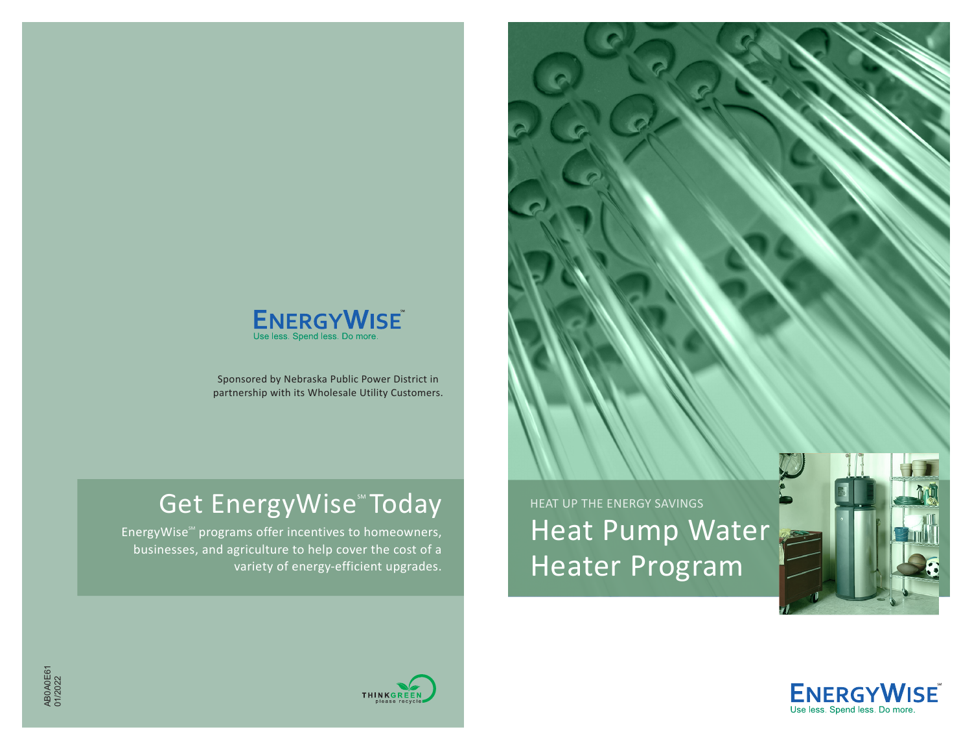

Sponsored by Nebraska Public Power District in partnership with its Wholesale Utility Customers.

## Get EnergyWise<sup>®</sup> Today **FOR THE AT UP THE ENERGY SAVINGS**

EnergyWise<sup>56</sup> programs offer incentives to homeowners, businesses, and agriculture to help cover the cost of a variety of energy-efficient upgrades.